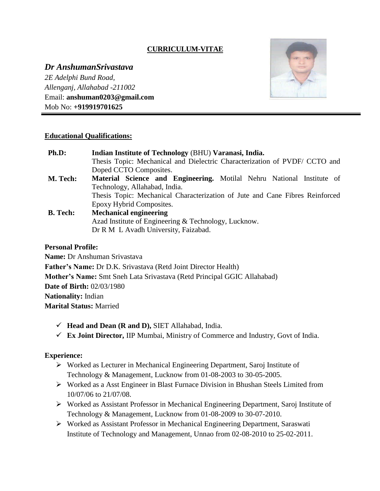# **CURRICULUM-VITAE**

*Dr AnshumanSrivastava 2E Adelphi Bund Road, Allenganj, Allahabad -211002* Email: **anshuman0203@gmail.com** Mob No: **+919919701625**



### **Educational Qualifications:**

| Ph.D:           | Indian Institute of Technology (BHU) Varanasi, India.                        |
|-----------------|------------------------------------------------------------------------------|
|                 | Thesis Topic: Mechanical and Dielectric Characterization of PVDF/ CCTO and   |
|                 | Doped CCTO Composites.                                                       |
| M. Tech:        | Material Science and Engineering. Motilal Nehru National Institute of        |
|                 | Technology, Allahabad, India.                                                |
|                 | Thesis Topic: Mechanical Characterization of Jute and Cane Fibres Reinforced |
|                 | Epoxy Hybrid Composites.                                                     |
| <b>B.</b> Tech: | <b>Mechanical engineering</b>                                                |
|                 | Azad Institute of Engineering & Technology, Lucknow.                         |
|                 | Dr R M L Avadh University, Faizabad.                                         |
|                 |                                                                              |

#### **Personal Profile:**

**Name:** Dr Anshuman Srivastava **Father's Name:** Dr D.K. Srivastava (Retd Joint Director Health) **Mother's Name:** Smt Sneh Lata Srivastava (Retd Principal GGIC Allahabad) **Date of Birth:** 02/03/1980 **Nationality:** Indian **Marital Status:** Married

- $\checkmark$  Head and Dean (**R** and **D**), SIET Allahabad, India.
- **Ex Joint Director,** IIP Mumbai, Ministry of Commerce and Industry, Govt of India.

### **Experience:**

- Worked as Lecturer in Mechanical Engineering Department, Saroj Institute of Technology & Management, Lucknow from 01-08-2003 to 30-05-2005.
- Worked as a Asst Engineer in Blast Furnace Division in Bhushan Steels Limited from 10/07/06 to 21/07/08.
- Worked as Assistant Professor in Mechanical Engineering Department, Saroj Institute of Technology & Management, Lucknow from 01-08-2009 to 30-07-2010.
- Worked as Assistant Professor in Mechanical Engineering Department, Saraswati Institute of Technology and Management, Unnao from 02-08-2010 to 25-02-2011.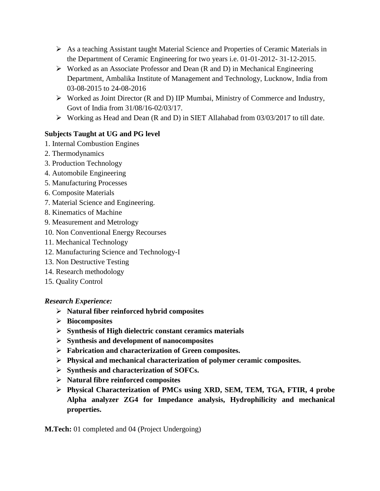- $\triangleright$  As a teaching Assistant taught Material Science and Properties of Ceramic Materials in the Department of Ceramic Engineering for two years i.e. 01-01-2012- 31-12-2015.
- $\triangleright$  Worked as an Associate Professor and Dean (R and D) in Mechanical Engineering Department, Ambalika Institute of Management and Technology, Lucknow, India from 03-08-2015 to 24-08-2016
- Worked as Joint Director (R and D) IIP Mumbai, Ministry of Commerce and Industry, Govt of India from 31/08/16-02/03/17.
- $\triangleright$  Working as Head and Dean (R and D) in SIET Allahabad from 03/03/2017 to till date.

# **Subjects Taught at UG and PG level**

- 1. Internal Combustion Engines
- 2. Thermodynamics
- 3. Production Technology
- 4. Automobile Engineering
- 5. Manufacturing Processes
- 6. Composite Materials
- 7. Material Science and Engineering.
- 8. Kinematics of Machine
- 9. Measurement and Metrology
- 10. Non Conventional Energy Recourses
- 11. Mechanical Technology
- 12. Manufacturing Science and Technology-I
- 13. Non Destructive Testing
- 14. Research methodology
- 15. Quality Control

# *Research Experience:*

- **Natural fiber reinforced hybrid composites**
- **Biocomposites**
- **Synthesis of High dielectric constant ceramics materials**
- **Synthesis and development of nanocomposites**
- **Fabrication and characterization of Green composites.**
- **Physical and mechanical characterization of polymer ceramic composites.**
- **Synthesis and characterization of SOFCs.**
- **Natural fibre reinforced composites**
- **Physical Characterization of PMCs using XRD, SEM, TEM, TGA, FTIR, 4 probe Alpha analyzer ZG4 for Impedance analysis, Hydrophilicity and mechanical properties.**

**M.Tech:** 01 completed and 04 (Project Undergoing)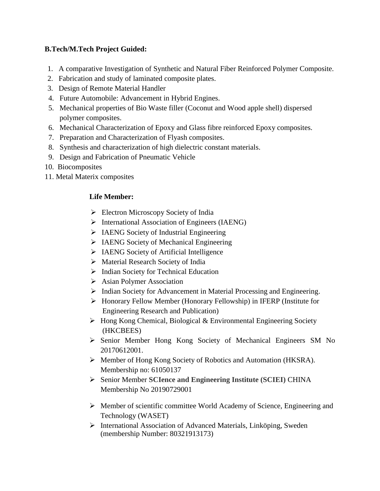# **B.Tech/M.Tech Project Guided:**

- 1. A comparative Investigation of Synthetic and Natural Fiber Reinforced Polymer Composite.
- 2. Fabrication and study of laminated composite plates.
- 3. Design of Remote Material Handler
- 4. Future Automobile: Advancement in Hybrid Engines.
- 5. Mechanical properties of Bio Waste filler (Coconut and Wood apple shell) dispersed polymer composites.
- 6. Mechanical Characterization of Epoxy and Glass fibre reinforced Epoxy composites.
- 7. Preparation and Characterization of Flyash composites.
- 8. Synthesis and characterization of high dielectric constant materials.
- 9. Design and Fabrication of Pneumatic Vehicle
- 10. Biocomposites
- 11. Metal Materix composites

# **Life Member:**

- $\triangleright$  Electron Microscopy Society of India
- $\triangleright$  International Association of Engineers (IAENG)
- $\triangleright$  IAENG Society of Industrial Engineering
- > IAENG Society of Mechanical Engineering
- $\triangleright$  IAENG Society of Artificial Intelligence
- > Material Research Society of India
- $\triangleright$  Indian Society for Technical Education
- $\triangleright$  Asian Polymer Association
- $\triangleright$  Indian Society for Advancement in Material Processing and Engineering.
- Honorary Fellow Member (Honorary Fellowship) in IFERP (Institute for Engineering Research and Publication)
- $\triangleright$  Hong Kong Chemical, Biological & Environmental Engineering Society (HKCBEES)
- Senior Member Hong Kong Society of Mechanical Engineers SM No 20170612001.
- Member of Hong Kong Society of Robotics and Automation (HKSRA). Membership no: 61050137
- Senior Member **SCIence and Engineering Institute (SCIEI)** CHINA Membership No 20190729001
- Member of scientific committee World Academy of Science, Engineering and Technology (WASET)
- International Association of Advanced Materials, Linköping, Sweden (membership Number: 80321913173)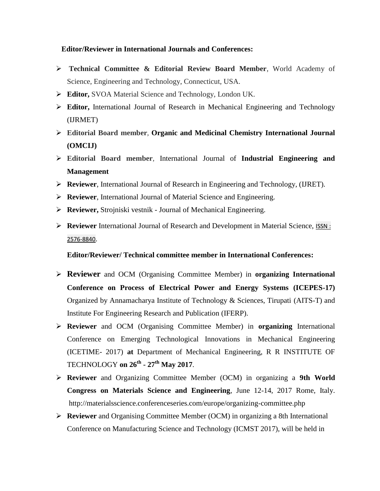#### **Editor/Reviewer in International Journals and Conferences:**

- **Technical Committee & Editorial Review Board Member**, World Academy of Science, Engineering and Technology, Connecticut, USA.
- **Editor,** SVOA Material Science and Technology, London UK.
- **Editor,** International Journal of Research in Mechanical Engineering and Technology (IJRMET)
- **Editorial Board member**, **Organic and Medicinal Chemistry International Journal (OMCIJ)**
- **Editorial Board member**, International Journal of **Industrial Engineering and Management**
- **Reviewer**, International Journal of Research in Engineering and Technology, (IJRET).
- **Reviewer**, International Journal of Material Science and Engineering.
- **Reviewer,** Strojniski vestnik Journal of Mechanical Engineering.
- **Reviewer** International Journal of Research and Development in Material Science, [ISSN](http://crimsonpublishers.com/rdms/index.php) : [2576-8840](http://crimsonpublishers.com/rdms/index.php).

**Editor/Reviewer/ Technical committee member in International Conferences:**

- **Reviewer** and OCM (Organising Committee Member) in **organizing International Conference on Process of Electrical Power and Energy Systems (ICEPES-17)** Organized by Annamacharya Institute of Technology & Sciences, Tirupati (AITS-T) and Institute For Engineering Research and Publication (IFERP).
- **Reviewer** and OCM (Organising Committee Member) in **organizing** [International](http://icetime.in/)  [Conference on Emerging Technological Innovations in Mechanical Engineering](http://icetime.in/)  [\(ICETIME-](http://icetime.in/) 2017) **at** Department of Mechanical Engineering, R R INSTITUTE OF TECHNOLOGY **on 26th - 27th May 2017**.
- **Reviewer** and Organizing Committee Member (OCM) in organizing a **9th World Congress on Materials Science and Engineering**, June 12-14, 2017 Rome, Italy. <http://materialsscience.conferenceseries.com/europe/organizing-committee.php>
- **Reviewer** and Organising Committee Member (OCM) in organizing a 8th International Conference on Manufacturing Science and Technology (ICMST 2017), will be held in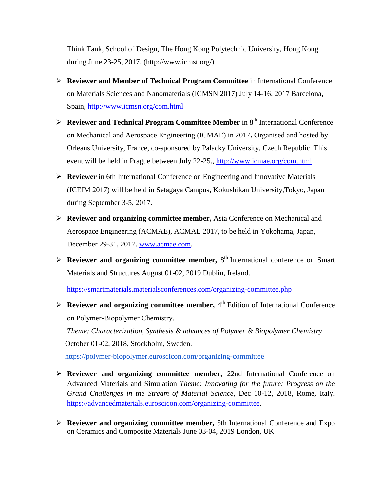Think Tank, School of Design, The Hong Kong Polytechnic University, Hong Kong during June 23-25, 2017. [\(http://www.icmst.org/\)](http://www.icmst.org/)

- **Reviewer and Member of Technical Program Committee** in International Conference on Materials Sciences and Nanomaterials (ICMSN 2017) July 14-16, 2017 Barcelona, Spain, <http://www.icmsn.org/com.html>
- **Reviewer and Technical Program Committee Member** in 8<sup>th</sup> International Conference on Mechanical and Aerospace Engineering (ICMAE) in 2017**.** Organised and hosted by Orleans University, France, co-sponsored by Palacky University, Czech Republic. This event will be held in Prague between July 22-25., [http://www.icmae.org/com.html.](http://www.icmae.org/com.html)
- **Reviewer** in 6th International Conference on Engineering and Innovative Materials (ICEIM 2017) will be held in Setagaya Campus, Kokushikan University,Tokyo, Japan during September 3-5, 2017.
- **Reviewer and organizing committee member,** Asia Conference on Mechanical and Aerospace Engineering (ACMAE), ACMAE 2017, to be held in Yokohama, Japan, December 29-31, 2017. [www.acmae.com.](http://www.acmae.com/)
- $\triangleright$  **Reviewer and organizing committee member, 8<sup>th</sup> International conference on Smart** Materials and Structures August 01-02, 2019 Dublin, Ireland.

<https://smartmaterials.materialsconferences.com/organizing-committee.php>

 $\triangleright$  **Reviewer and organizing committee member,**  $4^{\text{th}}$  Edition of International Conference on Polymer-Biopolymer Chemistry.

 *Theme: Characterization, Synthesis & advances of Polymer & Biopolymer Chemistry* October 01-02, 2018, Stockholm, Sweden.

<https://polymer-biopolymer.euroscicon.com/organizing-committee>

- **Reviewer and organizing committee member,** 22nd International Conference on Advanced Materials and Simulation *Theme: Innovating for the future: Progress on the Grand Challenges in the Stream of Material Science,* Dec 10-12, 2018, Rome, Italy. [https://advancedmaterials.euroscicon.com/organizing-committee.](https://advancedmaterials.euroscicon.com/organizing-committee)
- **Reviewer and organizing committee member,** 5th International Conference and Expo on Ceramics and Composite Materials June 03-04, 2019 London, UK.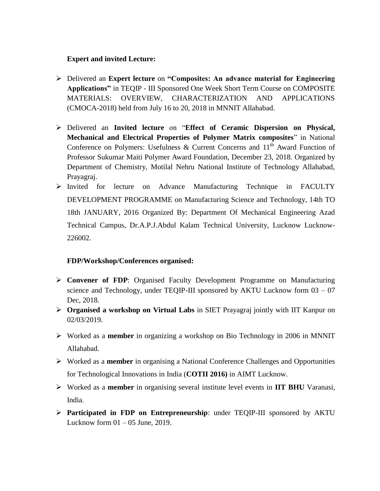### **Expert and invited Lecture:**

- Delivered an **Expert lecture** on **"Composites: An advance material for Engineering Applications"** in TEQIP - III Sponsored One Week Short Term Course on COMPOSITE MATERIALS: OVERVIEW, CHARACTERIZATION AND APPLICATIONS (CMOCA-2018) held from July 16 to 20, 2018 in MNNIT Allahabad.
- Delivered an **Invited lecture** on "**Effect of Ceramic Dispersion on Physical, Mechanical and Electrical Properties of Polymer Matrix composites**" in National Conference on Polymers: Usefulness & Current Concerns and  $11<sup>th</sup>$  Award Function of Professor Sukumar Maiti Polymer Award Foundation, December 23, 2018. Organized by Department of Chemistry, Motilal Nehru National Institute of Technology Allahabad, Prayagraj.
- $\triangleright$  Invited for lecture on Advance Manufacturing Technique in FACULTY DEVELOPMENT PROGRAMME on Manufacturing Science and Technology, 14th TO 18th JANUARY, 2016 Organized By: Department Of Mechanical Engineering Azad Technical Campus, Dr.A.P.J.Abdul Kalam Technical University, Lucknow Lucknow-226002.

### **FDP/Workshop/Conferences organised:**

- **Convener of FDP**: Organised Faculty Development Programme on Manufacturing science and Technology, under TEQIP-III sponsored by AKTU Lucknow form 03 – 07 Dec, 2018.
- **Organised a workshop on Virtual Labs** in SIET Prayagraj jointly with IIT Kanpur on 02/03/2019.
- Worked as a **member** in organizing a workshop on Bio Technology in 2006 in MNNIT Allahabad.
- Worked as a **member** in organising a National Conference Challenges and Opportunities for Technological Innovations in India (**COTII 2016)** in AIMT Lucknow.
- Worked as a **member** in organising several institute level events in **IIT BHU** Varanasi, India.
- **Participated in FDP on Entrepreneurship**: under TEQIP-III sponsored by AKTU Lucknow form  $01 - 05$  June, 2019.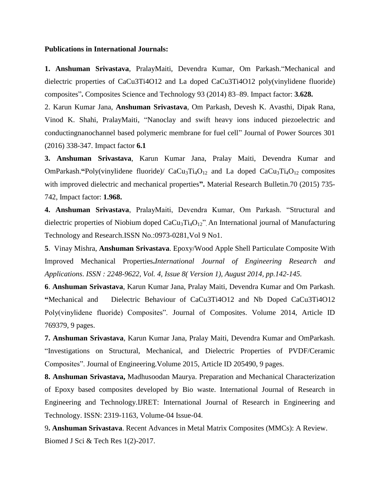#### **Publications in International Journals:**

**1. Anshuman Srivastava**, PralayMaiti, Devendra Kumar, Om Parkash."Mechanical and dielectric properties of CaCu3Ti4O12 and La doped CaCu3Ti4O12 poly(vinylidene fluoride) composites"**.** Composites Science and Technology 93 (2014) 83–89. Impact factor: **3.628.**

2. Karun Kumar Jana, **Anshuman Srivastava**, Om Parkash, Devesh K. Avasthi, Dipak Rana, Vinod K. Shahi, PralayMaiti, "Nanoclay and swift heavy ions induced piezoelectric and conductingnanochannel based polymeric membrane for fuel cell" Journal of Power Sources 301 (2016) 338-347. Impact factor **6.1**

**3. Anshuman Srivastava**, Karun Kumar Jana, Pralay Maiti, Devendra Kumar and OmParkash."Poly(vinylidene fluoride)/ CaCu<sub>3</sub>Ti<sub>4</sub>O<sub>12</sub> and La doped CaCu<sub>3</sub>Ti<sub>4</sub>O<sub>12</sub> composites with improved dielectric and mechanical properties**".** Material Research Bulletin.70 (2015) 735- 742, Impact factor: **1.968.**

**4. Anshuman Srivastava**, PralayMaiti, Devendra Kumar, Om Parkash. "Structural and dielectric properties of Niobium doped  $CaCu<sub>3</sub>Ti<sub>4</sub>O<sub>12</sub>''$ . An International journal of Manufacturing Technology and Research.ISSN No.:0973-0281,Vol 9 No1.

**5**. Vinay Mishra, **Anshuman Srivastava**. Epoxy/Wood Apple Shell Particulate Composite With Improved Mechanical Properties**.***International Journal of Engineering Research and Applications*. *ISSN : 2248-9622, Vol. 4, Issue 8( Version 1), August 2014, pp.142-145.*

**6**. **Anshuman Srivastava**, Karun Kumar Jana, Pralay Maiti, Devendra Kumar and Om Parkash. **"**Mechanical and Dielectric Behaviour of CaCu3Ti4O12 and Nb Doped CaCu3Ti4O12 Poly(vinylidene fluoride) Composites". Journal of Composites. Volume 2014, Article ID 769379, 9 pages.

**7. Anshuman Srivastava**, Karun Kumar Jana, Pralay Maiti, Devendra Kumar and OmParkash. "Investigations on Structural, Mechanical, and Dielectric Properties of PVDF/Ceramic Composites". Journal of Engineering.Volume 2015, Article ID 205490, 9 pages.

**8. Anshuman Srivastava,** Madhusoodan Maurya. Preparation and Mechanical Characterization of Epoxy based composites developed by Bio waste. International Journal of Research in Engineering and Technology.IJRET: International Journal of Research in Engineering and Technology. ISSN: 2319-1163, Volume-04 Issue-04.

9**. Anshuman Srivastava**. Recent Advances in Metal Matrix Composites (MMCs): A Review. Biomed J Sci & Tech Res 1(2)-2017.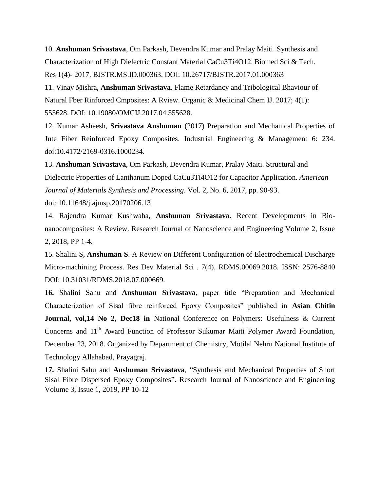10. **Anshuman Srivastava**, Om Parkash, Devendra Kumar and Pralay Maiti. Synthesis and Characterization of High Dielectric Constant Material CaCu3Ti4O12. Biomed Sci & Tech. Res 1(4)- 2017. BJSTR.MS.ID.000363. DOI: 10.26717/BJSTR.2017.01.000363

11. Vinay Mishra, **Anshuman Srivastava**. Flame Retardancy and Tribological Bhaviour of Natural Fber Rinforced Cmposites: A Rview. Organic & Medicinal Chem IJ. 2017; 4(1): 555628. DOI: 10.19080/OMCIJ.2017.04.555628.

12. Kumar Asheesh, **Srivastava Anshuman** (2017) Preparation and Mechanical Properties of Jute Fiber Reinforced Epoxy Composites. Industrial Engineering & Management 6: 234. doi:10.4172/2169-0316.1000234.

13. **Anshuman Srivastava**, Om Parkash, Devendra Kumar, Pralay Maiti. Structural and Dielectric Properties of Lanthanum Doped CaCu3Ti4O12 for Capacitor Application. *American Journal of Materials Synthesis and Processing*. Vol. 2, No. 6, 2017, pp. 90-93.

doi: 10.11648/j.ajmsp.20170206.13

14. Rajendra Kumar Kushwaha, **Anshuman Srivastava**. Recent Developments in Bionanocomposites: A Review. Research Journal of Nanoscience and Engineering Volume 2, Issue 2, 2018, PP 1-4.

15. Shalini S, **Anshuman S**. A Review on Different Configuration of Electrochemical Discharge Micro-machining Process. Res Dev Material Sci . 7(4). RDMS.00069.2018. ISSN: 2576-8840 DOI: 10.31031/RDMS.2018.07.000669.

**16.** Shalini Sahu and **Anshuman Srivastava**, paper title "Preparation and Mechanical Characterization of Sisal fibre reinforced Epoxy Composites" published in **Asian Chitin Journal, vol,14 No 2, Dec18 in** National Conference on Polymers: Usefulness & Current Concerns and  $11<sup>th</sup>$  Award Function of Professor Sukumar Maiti Polymer Award Foundation, December 23, 2018. Organized by Department of Chemistry, Motilal Nehru National Institute of Technology Allahabad, Prayagraj.

**17.** Shalini Sahu and **Anshuman Srivastava**, "Synthesis and Mechanical Properties of Short Sisal Fibre Dispersed Epoxy Composites". Research Journal of Nanoscience and Engineering Volume 3, Issue 1, 2019, PP 10-12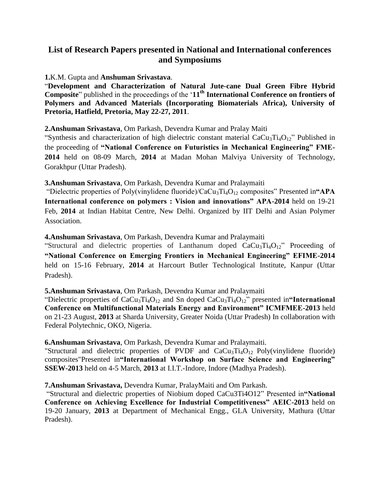# **List of Research Papers presented in National and International conferences and Symposiums**

**1.**K.M. Gupta and **Anshuman Srivastava**.

"**Development and Characterization of Natural Jute-cane Dual Green Fibre Hybrid Composite**" published in the proceedings of the "**11th International Conference on frontiers of Polymers and Advanced Materials (Incorporating Biomaterials Africa), University of Pretoria, Hatfield, Pretoria, May 22-27, 2011**.

**2.Anshuman Srivastava**, Om Parkash, Devendra Kumar and Pralay Maiti

"Synthesis and characterization of high dielectric constant material  $CaCu<sub>3</sub>Ti<sub>4</sub>O<sub>12</sub>$ " Published in the proceeding of **"National Conference on Futuristics in Mechanical Engineering" FME-2014** held on 08-09 March, **2014** at Madan Mohan Malviya University of Technology, Gorakhpur (Uttar Pradesh).

**3.Anshuman Srivastava**, Om Parkash, Devendra Kumar and Pralaymaiti

"Dielectric properties of Poly(vinylidene fluoride)/CaCu<sub>3</sub>Ti<sub>4</sub>O<sub>12</sub> composites" Presented in "APA **International conference on polymers : Vision and innovations" APA-2014** held on 19-21 Feb, **2014** at Indian Habitat Centre, New Delhi. Organized by IIT Delhi and Asian Polymer Association.

**4.Anshuman Srivastava**, Om Parkash, Devendra Kumar and Pralaymaiti

"Structural and dielectric properties of Lanthanum doped  $CaCu<sub>3</sub>Ti<sub>4</sub>O<sub>12</sub>$ " Proceeding of **"National Conference on Emerging Frontiers in Mechanical Engineering" EFIME-2014**  held on 15-16 February, **2014** at Harcourt Butler Technological Institute, Kanpur (Uttar Pradesh).

### **5.Anshuman Srivastava**, Om Parkash, Devendra Kumar and Pralaymaiti

"Dielectric properties of CaCu<sub>3</sub>Ti<sub>4</sub>O<sub>12</sub> and Sn doped CaCu<sub>3</sub>Ti<sub>4</sub>O<sub>12</sub>" presented in "International **Conference on Multifunctional Materials Energy and Environment" ICMFMEE-2013** held on 21-23 August, **2013** at Sharda University, Greater Noida (Uttar Pradesh) In collaboration with Federal Polytechnic, OKO, Nigeria.

**6.Anshuman Srivastava**, Om Parkash, Devendra Kumar and Pralaymaiti.

"Structural and dielectric properties of PVDF and  $CaCu<sub>3</sub>Ti<sub>4</sub>O<sub>12</sub>$  Poly(vinylidene fluoride) composites"Presented in**"International Workshop on Surface Science and Engineering" SSEW-2013** held on 4-5 March, **2013** at I.I.T.-Indore, Indore (Madhya Pradesh).

**7.Anshuman Srivastava,** Devendra Kumar, PralayMaiti and Om Parkash.

"Structural and dielectric properties of Niobium doped CaCu3Ti4O12" Presented in**"National Conference on Achieving Excellence for Industrial Competitiveness" AEIC-2013** held on 19-20 January, **2013** at Department of Mechanical Engg., GLA University, Mathura (Uttar Pradesh).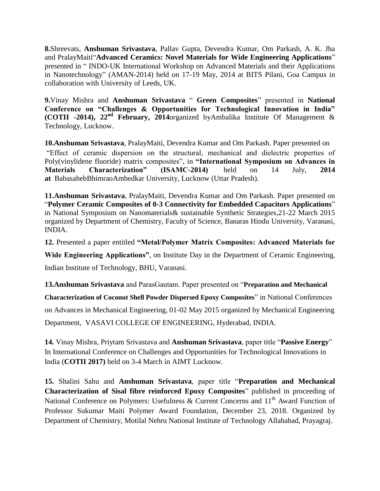**8.**Shreevats, **Anshuman Srivastava**, Pallav Gupta, Devendra Kumar, Om Parkash, A. K. Jha and PralayMaiti"**Advanced Ceramics: Novel Materials for Wide Engineering Applications**" presented in " INDO-UK International Workshop on Advanced Materials and their Applications in Nanotechnology" (AMAN-2014) held on 17-19 May, 2014 at BITS Pilani, Goa Campus in collaboration with University of Leeds, UK.

**9.**Vinay Mishra and **Anshuman Srivastava** " **Green Composites**" presented in **[National](http://conference.aimt.edu.in/)  [Conference on "Challenges & Opportunities for Technological Innovation in India"](http://conference.aimt.edu.in/)  (COTII -2014), 22nd [February, 2014](http://conference.aimt.edu.in/)**organized byAmbalika [Institute Of Management &](http://conference.aimt.edu.in/)  [Technology, Lucknow.](http://www.aimt.edu.in/)

**10.Anshuman Srivastava**, PralayMaiti, Devendra Kumar and Om Parkash. Paper presented on "Effect of ceramic dispersion on the structural, mechanical and dielectric properties of Poly(vinylidene fluoride) matrix composites", in **"International Symposium on Advances in Materials Characterization" (ISAMC-2014)** held on 14 July, **2014 at** BabasahebBhimraoAmbedkar University, Lucknow (Uttar Pradesh).

**11.Anshuman Srivastava**, PralayMaiti, Devendra Kumar and Om Parkash. Paper presented on "**Polymer Ceramic Composites of 0-3 Connectivity for Embedded Capacitors Applications**" in National Symposium on Nanomaterials& sustainable Synthetic Strategies,21-22 March 2015 organized by Department of Chemistry, Faculty of Science, Banaras Hindu University, Varanasi, INDIA.

**12.** Presented a paper entitled **"Metal/Polymer Matrix Composites: Advanced Materials for** 

**Wide Engineering Applications"**, on Institute Day in the Department of Ceramic Engineering, Indian Institute of Technology, BHU, Varanasi.

**13.Anshuman Srivastava** and ParasGautam. Paper presented on "**Preparation and Mechanical** 

**Characterization of Coconut Shell Powder Dispersed Epoxy Composites**" in National Conferences

on Advances in Mechanical Engineering, 01-02 May 2015 organized by Mechanical Engineering

Department, VASAVI COLLEGE OF ENGINEERING, Hyderabad, INDIA.

**14.** Vinay Mishra, Priytam Srivastava and **Anshuman Srivastava**, paper title "**Passive Energy**" In International Conference on Challenges and Opportunities for Technological Innovations in India (**COTII 2017)** held on 3-4 March in AIMT Lucknow.

**15.** Shalini Sahu and **Anshuman Srivastava**, paper title "**Preparation and Mechanical Characterization of Sisal fibre reinforced Epoxy Composites**" published in proceeding of National Conference on Polymers: Usefulness & Current Concerns and  $11<sup>th</sup>$  Award Function of Professor Sukumar Maiti Polymer Award Foundation, December 23, 2018. Organized by Department of Chemistry, Motilal Nehru National Institute of Technology Allahabad, Prayagraj.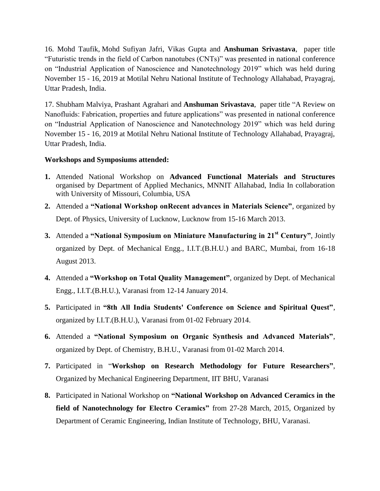16. Mohd Taufik, Mohd Sufiyan Jafri, Vikas Gupta and **Anshuman Srivastava**, paper title "Futuristic trends in the field of Carbon nanotubes (CNTs)" was presented in national conference on "Industrial Application of Nanoscience and Nanotechnology 2019" which was held during November 15 - 16, 2019 at Motilal Nehru National Institute of Technology Allahabad, Prayagraj, Uttar Pradesh, India.

17. Shubham Malviya, Prashant Agrahari and **Anshuman Srivastava**, paper title "A Review on Nanofluids: Fabrication, properties and future applications" was presented in national conference on "Industrial Application of Nanoscience and Nanotechnology 2019" which was held during November 15 - 16, 2019 at Motilal Nehru National Institute of Technology Allahabad, Prayagraj, Uttar Pradesh, India.

### **Workshops and Symposiums attended:**

- **1.** Attended National Workshop on **Advanced Functional Materials and Structures** organised by Department of Applied Mechanics, MNNIT Allahabad, India In collaboration with University of Missouri, Columbia, USA
- **2.** Attended a **"National Workshop onRecent advances in Materials Science"**, organized by Dept. of Physics, University of Lucknow, Lucknow from 15-16 March 2013.
- **3.** Attended a **"National Symposium on Miniature Manufacturing in 21st Century"**, Jointly organized by Dept. of Mechanical Engg., I.I.T.(B.H.U.) and BARC, Mumbai, from 16-18 August 2013.
- **4.** Attended a **"Workshop on Total Quality Management"**, organized by Dept. of Mechanical Engg., I.I.T.(B.H.U.), Varanasi from 12-14 January 2014.
- **5.** Participated in **"8th All India Students' Conference on Science and Spiritual Quest"**, organized by I.I.T.(B.H.U.), Varanasi from 01-02 February 2014.
- **6.** Attended a **"National Symposium on Organic Synthesis and Advanced Materials"**, organized by Dept. of Chemistry, B.H.U., Varanasi from 01-02 March 2014.
- **7.** Participated in "**Workshop on Research Methodology for Future Researchers"**, Organized by Mechanical Engineering Department, IIT BHU, Varanasi
- **8.** Participated in National Workshop on **"National Workshop on Advanced Ceramics in the field of Nanotechnology for Electro Ceramics"** from 27-28 March, 2015, Organized by Department of Ceramic Engineering, Indian Institute of Technology, BHU, Varanasi.